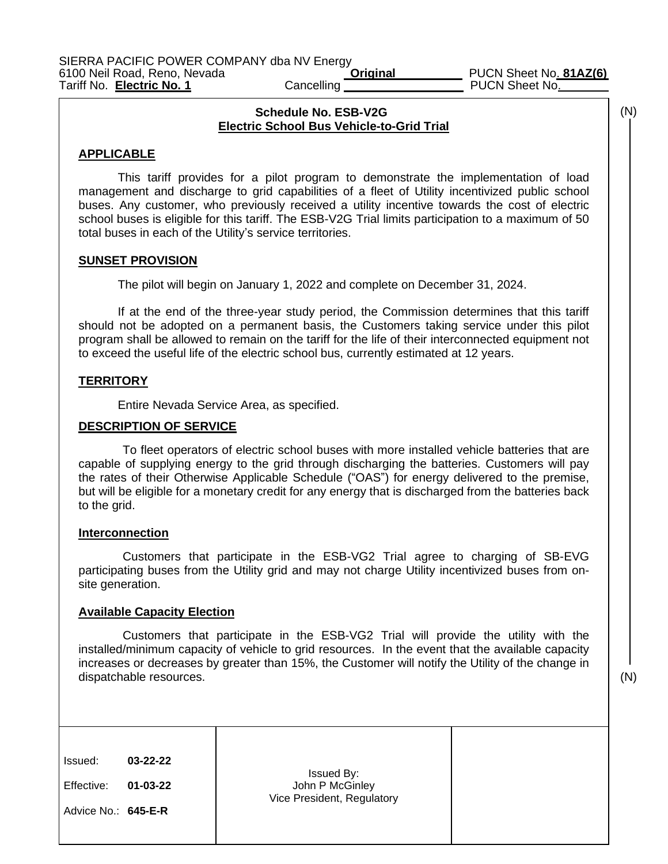(N)

#### **Schedule No. ESB-V2G Electric School Bus Vehicle-to-Grid Trial**

#### **APPLICABLE**

This tariff provides for a pilot program to demonstrate the implementation of load management and discharge to grid capabilities of a fleet of Utility incentivized public school buses. Any customer, who previously received a utility incentive towards the cost of electric school buses is eligible for this tariff. The ESB-V2G Trial limits participation to a maximum of 50 total buses in each of the Utility's service territories.

## **SUNSET PROVISION**

The pilot will begin on January 1, 2022 and complete on December 31, 2024.

If at the end of the three-year study period, the Commission determines that this tariff should not be adopted on a permanent basis, the Customers taking service under this pilot program shall be allowed to remain on the tariff for the life of their interconnected equipment not to exceed the useful life of the electric school bus, currently estimated at 12 years.

## **TERRITORY**

Entire Nevada Service Area, as specified.

#### **DESCRIPTION OF SERVICE**

To fleet operators of electric school buses with more installed vehicle batteries that are capable of supplying energy to the grid through discharging the batteries. Customers will pay the rates of their Otherwise Applicable Schedule ("OAS") for energy delivered to the premise, but will be eligible for a monetary credit for any energy that is discharged from the batteries back to the grid.

#### **Interconnection**

Customers that participate in the ESB-VG2 Trial agree to charging of SB-EVG participating buses from the Utility grid and may not charge Utility incentivized buses from onsite generation.

#### **Available Capacity Election**

Customers that participate in the ESB-VG2 Trial will provide the utility with the installed/minimum capacity of vehicle to grid resources. In the event that the available capacity increases or decreases by greater than 15%, the Customer will notify the Utility of the change in dispatchable resources.

(N)

| 03-22-22<br>Issued By:<br>John P McGinley<br>01-03-22<br>Vice President, Regulatory | Issued:<br>Effective:<br>Advice No.: 645-E-R |
|-------------------------------------------------------------------------------------|----------------------------------------------|
|-------------------------------------------------------------------------------------|----------------------------------------------|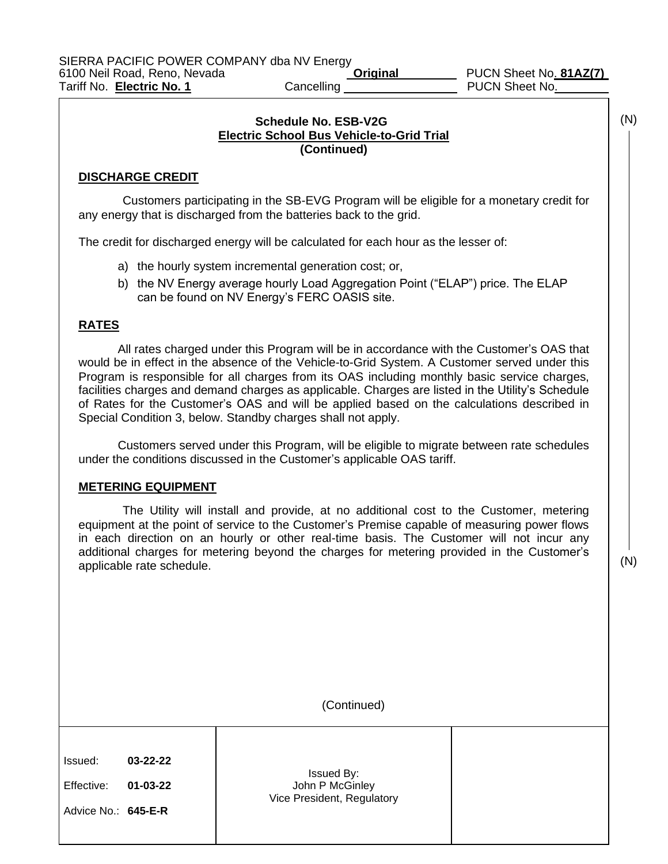## **Schedule No. ESB-V2G Electric School Bus Vehicle-to-Grid Trial (Continued)**

## **DISCHARGE CREDIT**

Customers participating in the SB-EVG Program will be eligible for a monetary credit for any energy that is discharged from the batteries back to the grid.

The credit for discharged energy will be calculated for each hour as the lesser of:

- a) the hourly system incremental generation cost; or,
- b) the NV Energy average hourly Load Aggregation Point ("ELAP") price. The ELAP can be found on NV Energy's FERC OASIS site.

# **RATES**

All rates charged under this Program will be in accordance with the Customer's OAS that would be in effect in the absence of the Vehicle-to-Grid System. A Customer served under this Program is responsible for all charges from its OAS including monthly basic service charges, facilities charges and demand charges as applicable. Charges are listed in the Utility's Schedule of Rates for the Customer's OAS and will be applied based on the calculations described in Special Condition 3, below. Standby charges shall not apply.

Customers served under this Program, will be eligible to migrate between rate schedules under the conditions discussed in the Customer's applicable OAS tariff.

#### **METERING EQUIPMENT**

The Utility will install and provide, at no additional cost to the Customer, metering equipment at the point of service to the Customer's Premise capable of measuring power flows in each direction on an hourly or other real-time basis. The Customer will not incur any additional charges for metering beyond the charges for metering provided in the Customer's applicable rate schedule.

(N)

(N)

(Continued)

| Issued:             | 03-22-22       |                                                             |  |
|---------------------|----------------|-------------------------------------------------------------|--|
| Effective:          | $01 - 03 - 22$ | Issued By:<br>John P McGinley<br>Vice President, Regulatory |  |
| Advice No.: 645-E-R |                |                                                             |  |
|                     |                |                                                             |  |